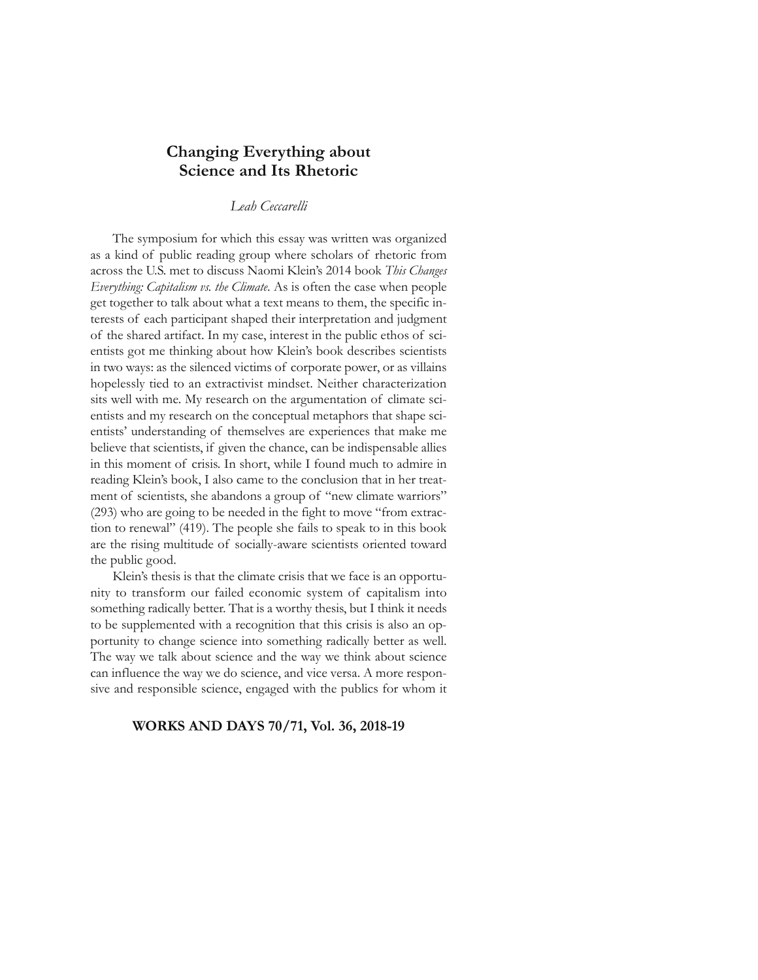# **Changing Everything about Science and Its Rhetoric**

### *Leah Ceccarelli*

The symposium for which this essay was written was organized as a kind of public reading group where scholars of rhetoric from across the U.S. met to discuss Naomi Klein's 2014 book *This Changes Everything: Capitalism vs. the Climate*. As is often the case when people get together to talk about what a text means to them, the specific interests of each participant shaped their interpretation and judgment of the shared artifact. In my case, interest in the public ethos of scientists got me thinking about how Klein's book describes scientists in two ways: as the silenced victims of corporate power, or as villains hopelessly tied to an extractivist mindset. Neither characterization sits well with me. My research on the argumentation of climate scientists and my research on the conceptual metaphors that shape scientists' understanding of themselves are experiences that make me believe that scientists, if given the chance, can be indispensable allies in this moment of crisis. In short, while I found much to admire in reading Klein's book, I also came to the conclusion that in her treatment of scientists, she abandons a group of "new climate warriors" (293) who are going to be needed in the fight to move "from extraction to renewal" (419). The people she fails to speak to in this book are the rising multitude of socially-aware scientists oriented toward the public good.

Klein's thesis is that the climate crisis that we face is an opportunity to transform our failed economic system of capitalism into something radically better. That is a worthy thesis, but I think it needs to be supplemented with a recognition that this crisis is also an opportunity to change science into something radically better as well. The way we talk about science and the way we think about science can influence the way we do science, and vice versa. A more responsive and responsible science, engaged with the publics for whom it

#### **WORKS AND DAYS 70/71, Vol. 36, 2018-19**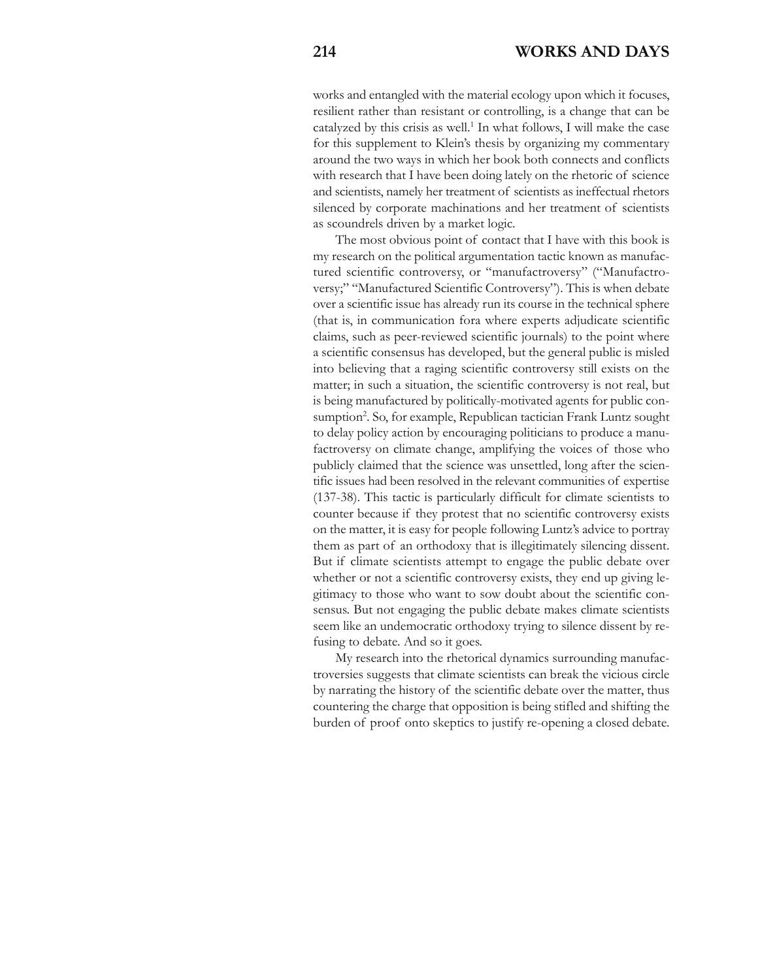works and entangled with the material ecology upon which it focuses, resilient rather than resistant or controlling, is a change that can be catalyzed by this crisis as well.<sup>1</sup> In what follows, I will make the case for this supplement to Klein's thesis by organizing my commentary around the two ways in which her book both connects and conflicts with research that I have been doing lately on the rhetoric of science and scientists, namely her treatment of scientists as ineffectual rhetors silenced by corporate machinations and her treatment of scientists as scoundrels driven by a market logic.

The most obvious point of contact that I have with this book is my research on the political argumentation tactic known as manufactured scientific controversy, or "manufactroversy" ("Manufactroversy;" "Manufactured Scientific Controversy"). This is when debate over a scientific issue has already run its course in the technical sphere (that is, in communication fora where experts adjudicate scientific claims, such as peer-reviewed scientific journals) to the point where a scientific consensus has developed, but the general public is misled into believing that a raging scientific controversy still exists on the matter; in such a situation, the scientific controversy is not real, but is being manufactured by politically-motivated agents for public consumption<sup>2</sup>. So, for example, Republican tactician Frank Luntz sought to delay policy action by encouraging politicians to produce a manufactroversy on climate change, amplifying the voices of those who publicly claimed that the science was unsettled, long after the scientific issues had been resolved in the relevant communities of expertise (137-38). This tactic is particularly difficult for climate scientists to counter because if they protest that no scientific controversy exists on the matter, it is easy for people following Luntz's advice to portray them as part of an orthodoxy that is illegitimately silencing dissent. But if climate scientists attempt to engage the public debate over whether or not a scientific controversy exists, they end up giving legitimacy to those who want to sow doubt about the scientific consensus. But not engaging the public debate makes climate scientists seem like an undemocratic orthodoxy trying to silence dissent by refusing to debate. And so it goes.

My research into the rhetorical dynamics surrounding manufactroversies suggests that climate scientists can break the vicious circle by narrating the history of the scientific debate over the matter, thus countering the charge that opposition is being stifled and shifting the burden of proof onto skeptics to justify re-opening a closed debate.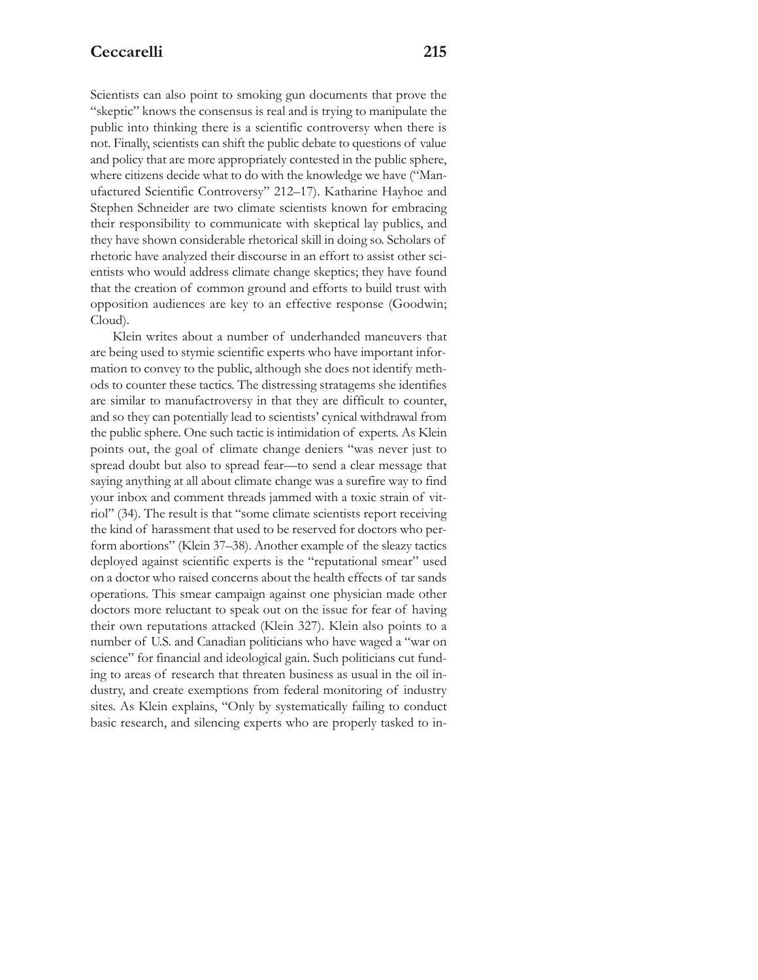Scientists can also point to smoking gun documents that prove the "skeptic" knows the consensus is real and is trying to manipulate the public into thinking there is a scientific controversy when there is not. Finally, scientists can shift the public debate to questions of value and policy that are more appropriately contested in the public sphere, where citizens decide what to do with the knowledge we have ("Manufactured Scientific Controversy" 212–17). Katharine Hayhoe and Stephen Schneider are two climate scientists known for embracing their responsibility to communicate with skeptical lay publics, and they have shown considerable rhetorical skill in doing so. Scholars of rhetoric have analyzed their discourse in an effort to assist other scientists who would address climate change skeptics; they have found that the creation of common ground and efforts to build trust with opposition audiences are key to an effective response (Goodwin; Cloud).

Klein writes about a number of underhanded maneuvers that are being used to stymie scientific experts who have important information to convey to the public, although she does not identify methods to counter these tactics. The distressing stratagems she identifies are similar to manufactroversy in that they are difficult to counter, and so they can potentially lead to scientists' cynical withdrawal from the public sphere. One such tactic is intimidation of experts. As Klein points out, the goal of climate change deniers "was never just to spread doubt but also to spread fear—to send a clear message that saying anything at all about climate change was a surefire way to find your inbox and comment threads jammed with a toxic strain of vitriol" (34). The result is that "some climate scientists report receiving the kind of harassment that used to be reserved for doctors who perform abortions" (Klein 37–38). Another example of the sleazy tactics deployed against scientific experts is the "reputational smear" used on a doctor who raised concerns about the health effects of tar sands operations. This smear campaign against one physician made other doctors more reluctant to speak out on the issue for fear of having their own reputations attacked (Klein 327). Klein also points to a number of U.S. and Canadian politicians who have waged a "war on science" for financial and ideological gain. Such politicians cut funding to areas of research that threaten business as usual in the oil industry, and create exemptions from federal monitoring of industry sites. As Klein explains, "Only by systematically failing to conduct basic research, and silencing experts who are properly tasked to in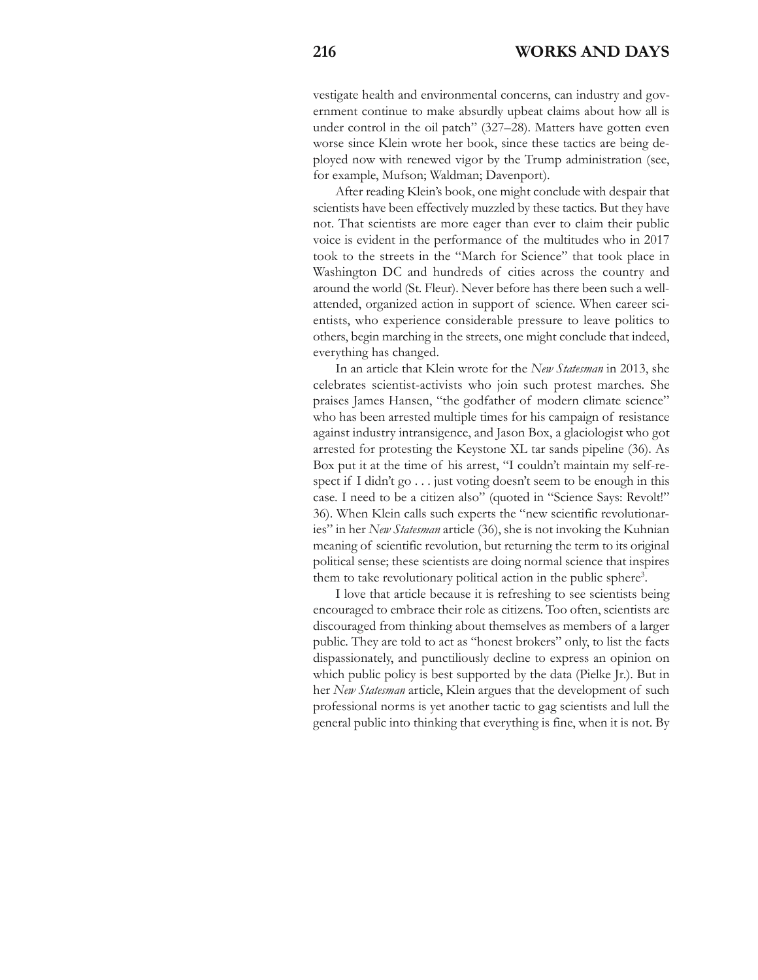vestigate health and environmental concerns, can industry and government continue to make absurdly upbeat claims about how all is under control in the oil patch" (327–28). Matters have gotten even worse since Klein wrote her book, since these tactics are being deployed now with renewed vigor by the Trump administration (see, for example, Mufson; Waldman; Davenport).

After reading Klein's book, one might conclude with despair that scientists have been effectively muzzled by these tactics. But they have not. That scientists are more eager than ever to claim their public voice is evident in the performance of the multitudes who in 2017 took to the streets in the "March for Science" that took place in Washington DC and hundreds of cities across the country and around the world (St. Fleur). Never before has there been such a wellattended, organized action in support of science. When career scientists, who experience considerable pressure to leave politics to others, begin marching in the streets, one might conclude that indeed, everything has changed.

In an article that Klein wrote for the *New Statesman* in 2013, she celebrates scientist-activists who join such protest marches. She praises James Hansen, "the godfather of modern climate science" who has been arrested multiple times for his campaign of resistance against industry intransigence, and Jason Box, a glaciologist who got arrested for protesting the Keystone XL tar sands pipeline (36). As Box put it at the time of his arrest, "I couldn't maintain my self-respect if I didn't go . . . just voting doesn't seem to be enough in this case. I need to be a citizen also" (quoted in "Science Says: Revolt!" 36). When Klein calls such experts the "new scientific revolutionaries" in her *New Statesman* article (36), she is not invoking the Kuhnian meaning of scientific revolution, but returning the term to its original political sense; these scientists are doing normal science that inspires them to take revolutionary political action in the public sphere<sup>3</sup>.

I love that article because it is refreshing to see scientists being encouraged to embrace their role as citizens. Too often, scientists are discouraged from thinking about themselves as members of a larger public. They are told to act as "honest brokers" only, to list the facts dispassionately, and punctiliously decline to express an opinion on which public policy is best supported by the data (Pielke Jr.). But in her *New Statesman* article, Klein argues that the development of such professional norms is yet another tactic to gag scientists and lull the general public into thinking that everything is fine, when it is not. By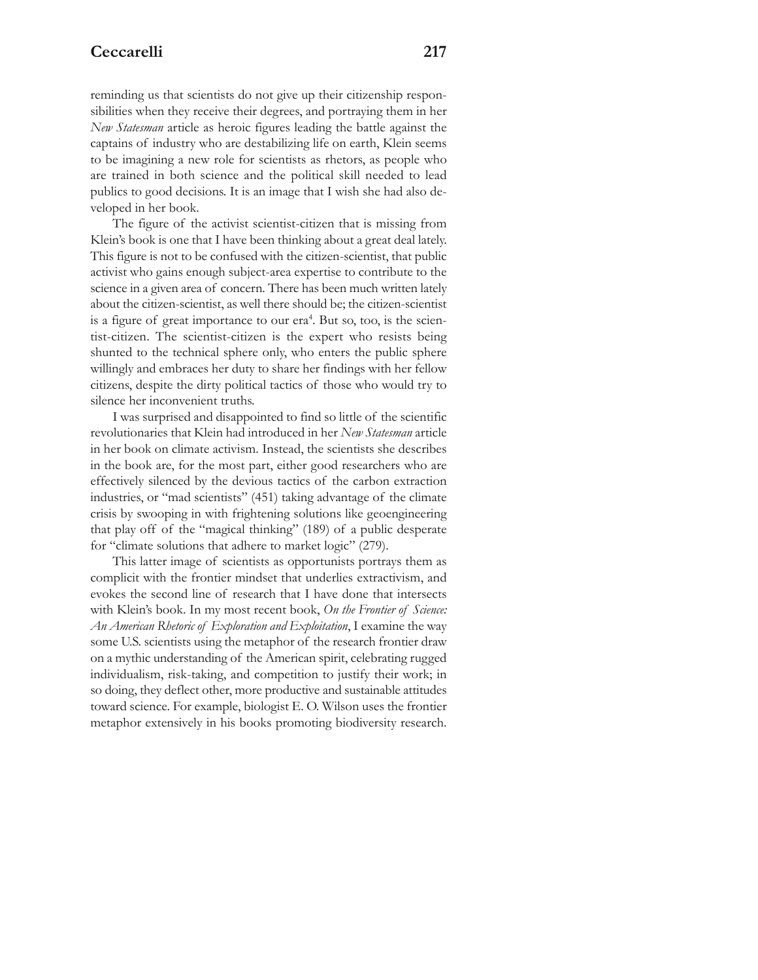reminding us that scientists do not give up their citizenship responsibilities when they receive their degrees, and portraying them in her *New Statesman* article as heroic figures leading the battle against the captains of industry who are destabilizing life on earth, Klein seems to be imagining a new role for scientists as rhetors, as people who are trained in both science and the political skill needed to lead publics to good decisions. It is an image that I wish she had also developed in her book.

The figure of the activist scientist-citizen that is missing from Klein's book is one that I have been thinking about a great deal lately. This figure is not to be confused with the citizen-scientist, that public activist who gains enough subject-area expertise to contribute to the science in a given area of concern. There has been much written lately about the citizen-scientist, as well there should be; the citizen-scientist is a figure of great importance to our era<sup>4</sup>. But so, too, is the scientist-citizen. The scientist-citizen is the expert who resists being shunted to the technical sphere only, who enters the public sphere willingly and embraces her duty to share her findings with her fellow citizens, despite the dirty political tactics of those who would try to silence her inconvenient truths.

I was surprised and disappointed to find so little of the scientific revolutionaries that Klein had introduced in her *New Statesman* article in her book on climate activism. Instead, the scientists she describes in the book are, for the most part, either good researchers who are effectively silenced by the devious tactics of the carbon extraction industries, or "mad scientists" (451) taking advantage of the climate crisis by swooping in with frightening solutions like geoengineering that play off of the "magical thinking" (189) of a public desperate for "climate solutions that adhere to market logic" (279).

This latter image of scientists as opportunists portrays them as complicit with the frontier mindset that underlies extractivism, and evokes the second line of research that I have done that intersects with Klein's book. In my most recent book, *On the Frontier of Science: An American Rhetoric of Exploration and Exploitation*, I examine the way some U.S. scientists using the metaphor of the research frontier draw on a mythic understanding of the American spirit, celebrating rugged individualism, risk-taking, and competition to justify their work; in so doing, they deflect other, more productive and sustainable attitudes toward science. For example, biologist E. O. Wilson uses the frontier metaphor extensively in his books promoting biodiversity research.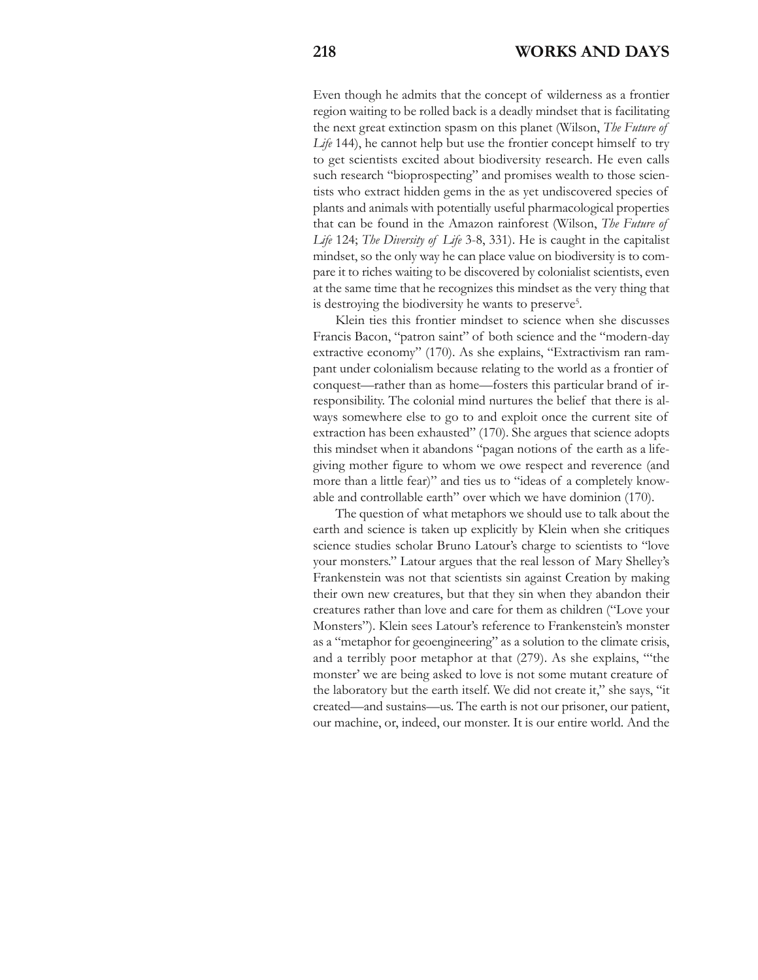Even though he admits that the concept of wilderness as a frontier region waiting to be rolled back is a deadly mindset that is facilitating the next great extinction spasm on this planet (Wilson, *The Future of* Life<sup>144</sup>), he cannot help but use the frontier concept himself to try to get scientists excited about biodiversity research. He even calls such research "bioprospecting" and promises wealth to those scientists who extract hidden gems in the as yet undiscovered species of plants and animals with potentially useful pharmacological properties that can be found in the Amazon rainforest (Wilson, *The Future of Life* 124; *The Diversity of Life* 3-8, 331). He is caught in the capitalist mindset, so the only way he can place value on biodiversity is to compare it to riches waiting to be discovered by colonialist scientists, even at the same time that he recognizes this mindset as the very thing that is destroying the biodiversity he wants to preserve<sup>5</sup>.

Klein ties this frontier mindset to science when she discusses Francis Bacon, "patron saint" of both science and the "modern-day extractive economy" (170). As she explains, "Extractivism ran rampant under colonialism because relating to the world as a frontier of conquest—rather than as home—fosters this particular brand of irresponsibility. The colonial mind nurtures the belief that there is always somewhere else to go to and exploit once the current site of extraction has been exhausted" (170). She argues that science adopts this mindset when it abandons "pagan notions of the earth as a lifegiving mother figure to whom we owe respect and reverence (and more than a little fear)" and ties us to "ideas of a completely knowable and controllable earth" over which we have dominion (170).

The question of what metaphors we should use to talk about the earth and science is taken up explicitly by Klein when she critiques science studies scholar Bruno Latour's charge to scientists to "love your monsters." Latour argues that the real lesson of Mary Shelley's Frankenstein was not that scientists sin against Creation by making their own new creatures, but that they sin when they abandon their creatures rather than love and care for them as children ("Love your Monsters"). Klein sees Latour's reference to Frankenstein's monster as a "metaphor for geoengineering" as a solution to the climate crisis, and a terribly poor metaphor at that (279). As she explains, "'the monster' we are being asked to love is not some mutant creature of the laboratory but the earth itself. We did not create it," she says, "it created—and sustains—us. The earth is not our prisoner, our patient, our machine, or, indeed, our monster. It is our entire world. And the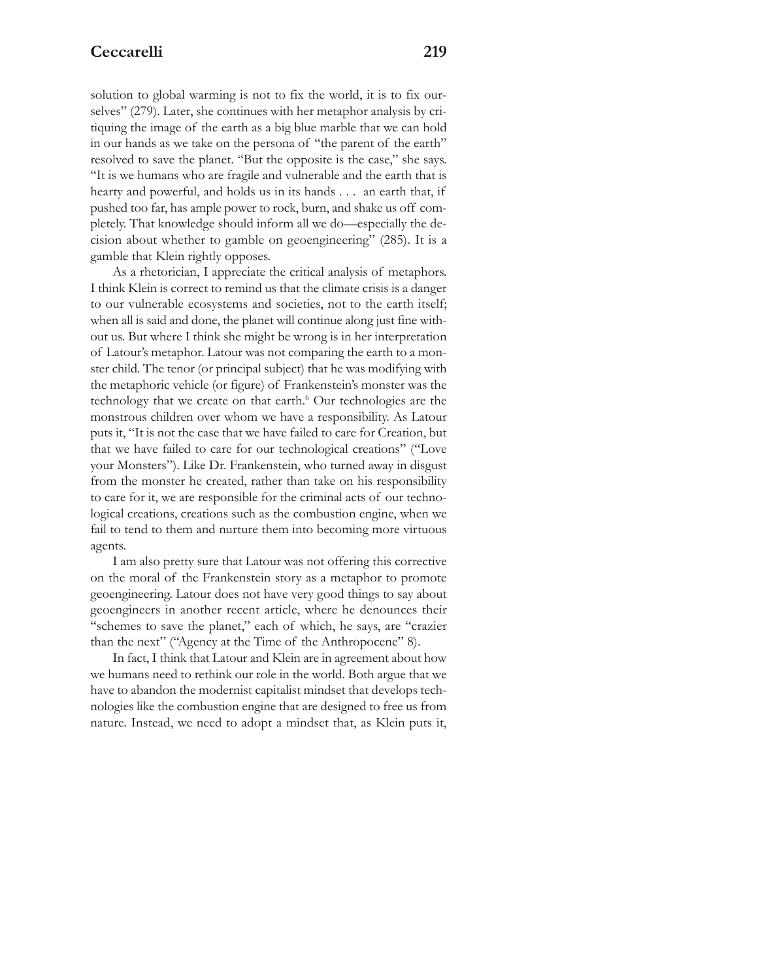solution to global warming is not to fix the world, it is to fix ourselves" (279). Later, she continues with her metaphor analysis by critiquing the image of the earth as a big blue marble that we can hold in our hands as we take on the persona of "the parent of the earth" resolved to save the planet. "But the opposite is the case," she says. "It is we humans who are fragile and vulnerable and the earth that is hearty and powerful, and holds us in its hands . . . an earth that, if pushed too far, has ample power to rock, burn, and shake us off completely. That knowledge should inform all we do—especially the decision about whether to gamble on geoengineering" (285). It is a gamble that Klein rightly opposes.

As a rhetorician, I appreciate the critical analysis of metaphors. I think Klein is correct to remind us that the climate crisis is a danger to our vulnerable ecosystems and societies, not to the earth itself; when all is said and done, the planet will continue along just fine without us. But where I think she might be wrong is in her interpretation of Latour's metaphor. Latour was not comparing the earth to a monster child. The tenor (or principal subject) that he was modifying with the metaphoric vehicle (or figure) of Frankenstein's monster was the technology that we create on that earth.<sup>6</sup> Our technologies are the monstrous children over whom we have a responsibility. As Latour puts it, "It is not the case that we have failed to care for Creation, but that we have failed to care for our technological creations" ("Love your Monsters"). Like Dr. Frankenstein, who turned away in disgust from the monster he created, rather than take on his responsibility to care for it, we are responsible for the criminal acts of our technological creations, creations such as the combustion engine, when we fail to tend to them and nurture them into becoming more virtuous agents.

I am also pretty sure that Latour was not offering this corrective on the moral of the Frankenstein story as a metaphor to promote geoengineering. Latour does not have very good things to say about geoengineers in another recent article, where he denounces their "schemes to save the planet," each of which, he says, are "crazier than the next" ("Agency at the Time of the Anthropocene" 8).

In fact, I think that Latour and Klein are in agreement about how we humans need to rethink our role in the world. Both argue that we have to abandon the modernist capitalist mindset that develops technologies like the combustion engine that are designed to free us from nature. Instead, we need to adopt a mindset that, as Klein puts it,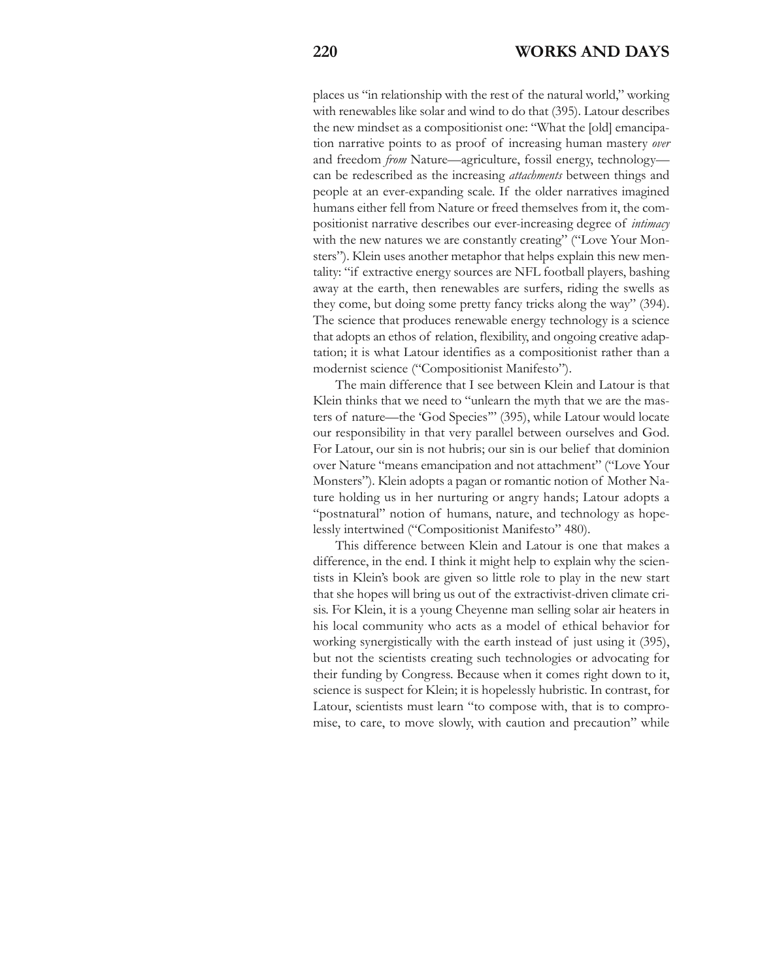places us "in relationship with the rest of the natural world," working with renewables like solar and wind to do that (395). Latour describes the new mindset as a compositionist one: "What the [old] emancipation narrative points to as proof of increasing human mastery *over* and freedom *from* Nature—agriculture, fossil energy, technology can be redescribed as the increasing *attachments* between things and people at an ever-expanding scale. If the older narratives imagined humans either fell from Nature or freed themselves from it, the compositionist narrative describes our ever-increasing degree of *intimacy* with the new natures we are constantly creating" ("Love Your Monsters"). Klein uses another metaphor that helps explain this new mentality: "if extractive energy sources are NFL football players, bashing away at the earth, then renewables are surfers, riding the swells as they come, but doing some pretty fancy tricks along the way" (394). The science that produces renewable energy technology is a science that adopts an ethos of relation, flexibility, and ongoing creative adaptation; it is what Latour identifies as a compositionist rather than a modernist science ("Compositionist Manifesto").

The main difference that I see between Klein and Latour is that Klein thinks that we need to "unlearn the myth that we are the masters of nature—the 'God Species'" (395), while Latour would locate our responsibility in that very parallel between ourselves and God. For Latour, our sin is not hubris; our sin is our belief that dominion over Nature "means emancipation and not attachment" ("Love Your Monsters"). Klein adopts a pagan or romantic notion of Mother Nature holding us in her nurturing or angry hands; Latour adopts a "postnatural" notion of humans, nature, and technology as hopelessly intertwined ("Compositionist Manifesto" 480).

This difference between Klein and Latour is one that makes a difference, in the end. I think it might help to explain why the scientists in Klein's book are given so little role to play in the new start that she hopes will bring us out of the extractivist-driven climate crisis. For Klein, it is a young Cheyenne man selling solar air heaters in his local community who acts as a model of ethical behavior for working synergistically with the earth instead of just using it (395), but not the scientists creating such technologies or advocating for their funding by Congress. Because when it comes right down to it, science is suspect for Klein; it is hopelessly hubristic. In contrast, for Latour, scientists must learn "to compose with, that is to compromise, to care, to move slowly, with caution and precaution" while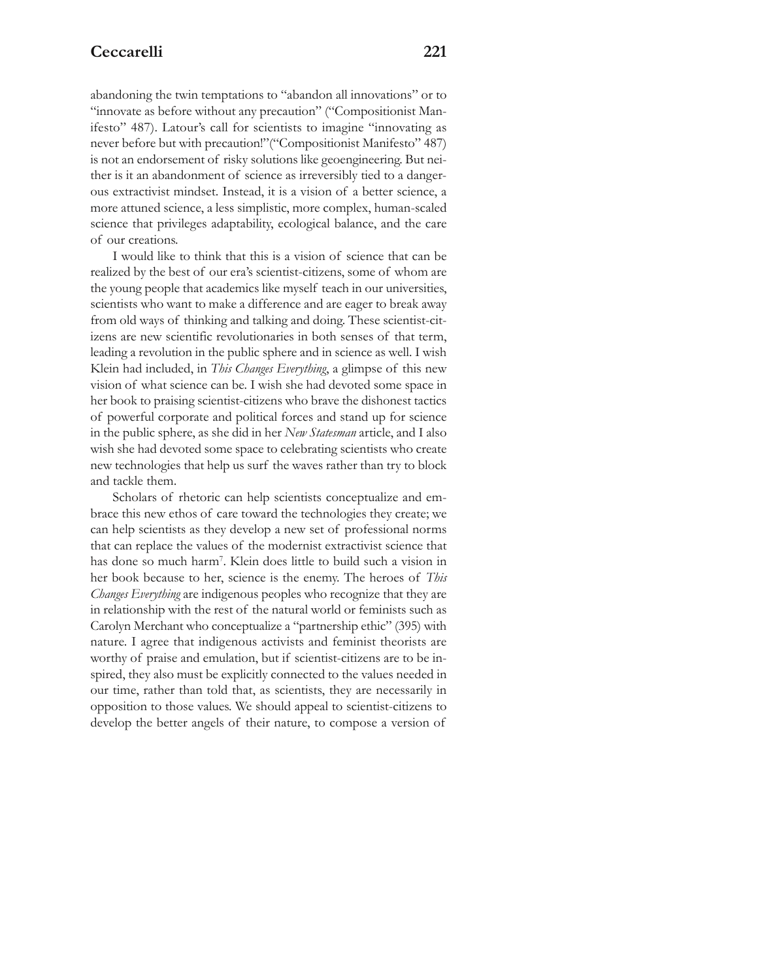abandoning the twin temptations to "abandon all innovations" or to "innovate as before without any precaution" ("Compositionist Manifesto" 487). Latour's call for scientists to imagine "innovating as never before but with precaution!"("Compositionist Manifesto" 487) is not an endorsement of risky solutions like geoengineering. But neither is it an abandonment of science as irreversibly tied to a dangerous extractivist mindset. Instead, it is a vision of a better science, a more attuned science, a less simplistic, more complex, human-scaled science that privileges adaptability, ecological balance, and the care of our creations.

I would like to think that this is a vision of science that can be realized by the best of our era's scientist-citizens, some of whom are the young people that academics like myself teach in our universities, scientists who want to make a difference and are eager to break away from old ways of thinking and talking and doing. These scientist-citizens are new scientific revolutionaries in both senses of that term, leading a revolution in the public sphere and in science as well. I wish Klein had included, in *This Changes Everything*, a glimpse of this new vision of what science can be. I wish she had devoted some space in her book to praising scientist-citizens who brave the dishonest tactics of powerful corporate and political forces and stand up for science in the public sphere, as she did in her *New Statesman* article, and I also wish she had devoted some space to celebrating scientists who create new technologies that help us surf the waves rather than try to block and tackle them.

Scholars of rhetoric can help scientists conceptualize and embrace this new ethos of care toward the technologies they create; we can help scientists as they develop a new set of professional norms that can replace the values of the modernist extractivist science that has done so much harm7 . Klein does little to build such a vision in her book because to her, science is the enemy. The heroes of *This Changes Everything* are indigenous peoples who recognize that they are in relationship with the rest of the natural world or feminists such as Carolyn Merchant who conceptualize a "partnership ethic" (395) with nature. I agree that indigenous activists and feminist theorists are worthy of praise and emulation, but if scientist-citizens are to be inspired, they also must be explicitly connected to the values needed in our time, rather than told that, as scientists, they are necessarily in opposition to those values. We should appeal to scientist-citizens to develop the better angels of their nature, to compose a version of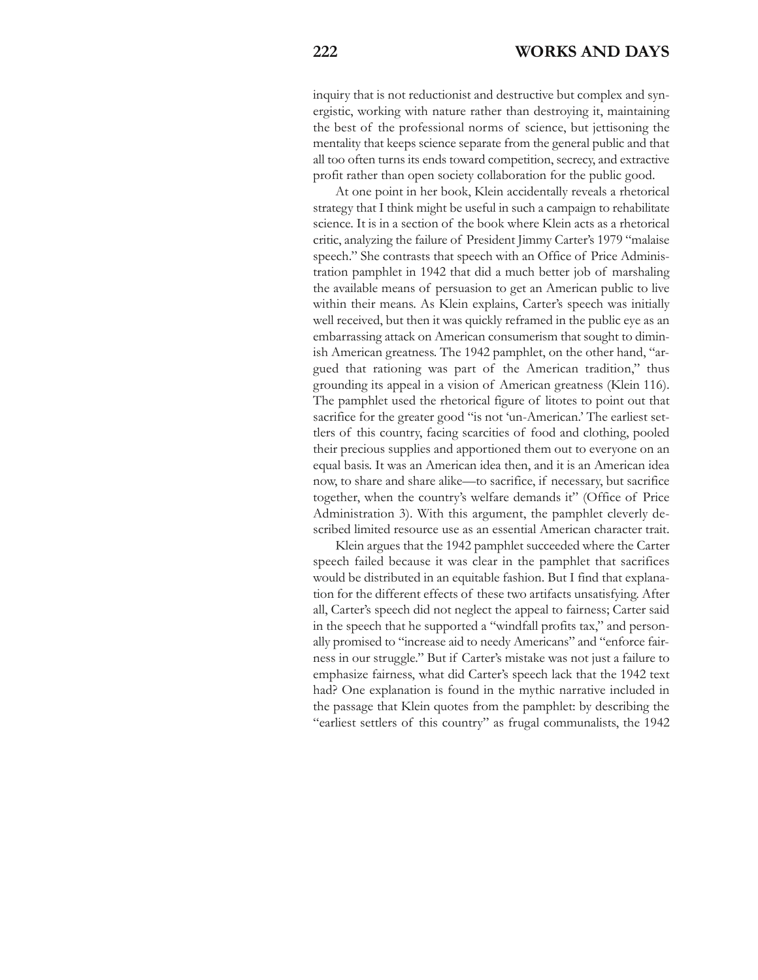inquiry that is not reductionist and destructive but complex and synergistic, working with nature rather than destroying it, maintaining the best of the professional norms of science, but jettisoning the mentality that keeps science separate from the general public and that all too often turns its ends toward competition, secrecy, and extractive profit rather than open society collaboration for the public good.

At one point in her book, Klein accidentally reveals a rhetorical strategy that I think might be useful in such a campaign to rehabilitate science. It is in a section of the book where Klein acts as a rhetorical critic, analyzing the failure of President Jimmy Carter's 1979 "malaise speech." She contrasts that speech with an Office of Price Administration pamphlet in 1942 that did a much better job of marshaling the available means of persuasion to get an American public to live within their means. As Klein explains, Carter's speech was initially well received, but then it was quickly reframed in the public eye as an embarrassing attack on American consumerism that sought to diminish American greatness. The 1942 pamphlet, on the other hand, "argued that rationing was part of the American tradition," thus grounding its appeal in a vision of American greatness (Klein 116). The pamphlet used the rhetorical figure of litotes to point out that sacrifice for the greater good "is not 'un-American.' The earliest settlers of this country, facing scarcities of food and clothing, pooled their precious supplies and apportioned them out to everyone on an equal basis. It was an American idea then, and it is an American idea now, to share and share alike—to sacrifice, if necessary, but sacrifice together, when the country's welfare demands it" (Office of Price Administration 3). With this argument, the pamphlet cleverly described limited resource use as an essential American character trait.

Klein argues that the 1942 pamphlet succeeded where the Carter speech failed because it was clear in the pamphlet that sacrifices would be distributed in an equitable fashion. But I find that explanation for the different effects of these two artifacts unsatisfying. After all, Carter's speech did not neglect the appeal to fairness; Carter said in the speech that he supported a "windfall profits tax," and personally promised to "increase aid to needy Americans" and "enforce fairness in our struggle." But if Carter's mistake was not just a failure to emphasize fairness, what did Carter's speech lack that the 1942 text had? One explanation is found in the mythic narrative included in the passage that Klein quotes from the pamphlet: by describing the "earliest settlers of this country" as frugal communalists, the 1942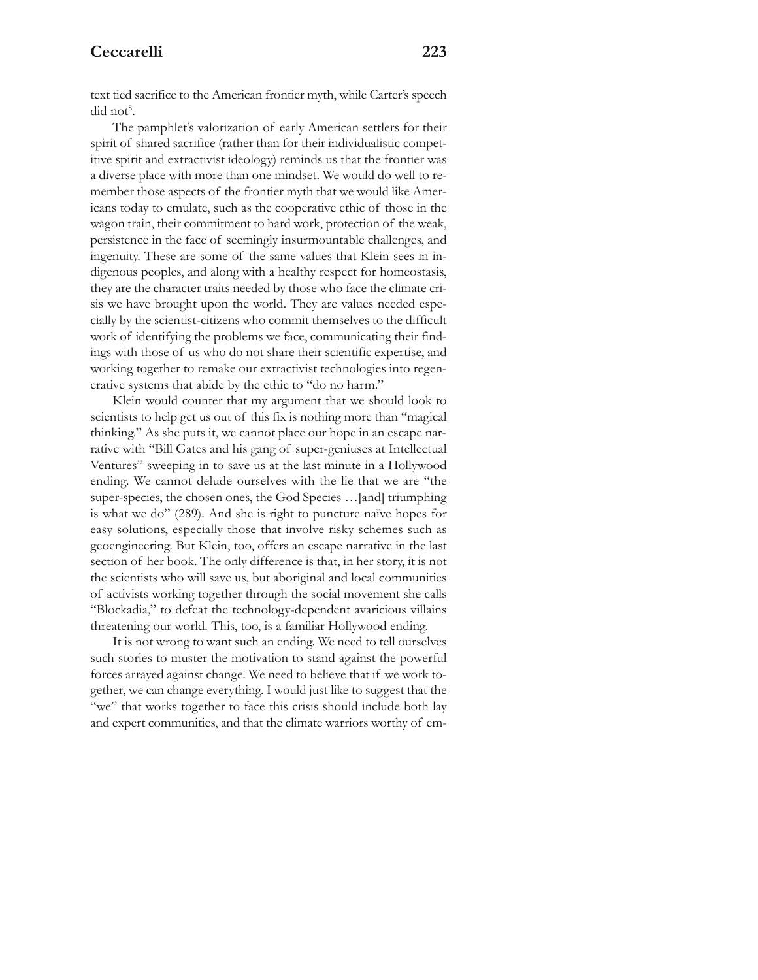## **Ceccarelli 223**

text tied sacrifice to the American frontier myth, while Carter's speech did not<sup>8</sup>.

The pamphlet's valorization of early American settlers for their spirit of shared sacrifice (rather than for their individualistic competitive spirit and extractivist ideology) reminds us that the frontier was a diverse place with more than one mindset. We would do well to remember those aspects of the frontier myth that we would like Americans today to emulate, such as the cooperative ethic of those in the wagon train, their commitment to hard work, protection of the weak, persistence in the face of seemingly insurmountable challenges, and ingenuity. These are some of the same values that Klein sees in indigenous peoples, and along with a healthy respect for homeostasis, they are the character traits needed by those who face the climate crisis we have brought upon the world. They are values needed especially by the scientist-citizens who commit themselves to the difficult work of identifying the problems we face, communicating their findings with those of us who do not share their scientific expertise, and working together to remake our extractivist technologies into regenerative systems that abide by the ethic to "do no harm."

Klein would counter that my argument that we should look to scientists to help get us out of this fix is nothing more than "magical thinking." As she puts it, we cannot place our hope in an escape narrative with "Bill Gates and his gang of super-geniuses at Intellectual Ventures" sweeping in to save us at the last minute in a Hollywood ending. We cannot delude ourselves with the lie that we are "the super-species, the chosen ones, the God Species ... [and] triumphing is what we do" (289). And she is right to puncture naïve hopes for easy solutions, especially those that involve risky schemes such as geoengineering. But Klein, too, offers an escape narrative in the last section of her book. The only difference is that, in her story, it is not the scientists who will save us, but aboriginal and local communities of activists working together through the social movement she calls "Blockadia," to defeat the technology-dependent avaricious villains threatening our world. This, too, is a familiar Hollywood ending.

It is not wrong to want such an ending. We need to tell ourselves such stories to muster the motivation to stand against the powerful forces arrayed against change. We need to believe that if we work together, we can change everything. I would just like to suggest that the "we" that works together to face this crisis should include both lay and expert communities, and that the climate warriors worthy of em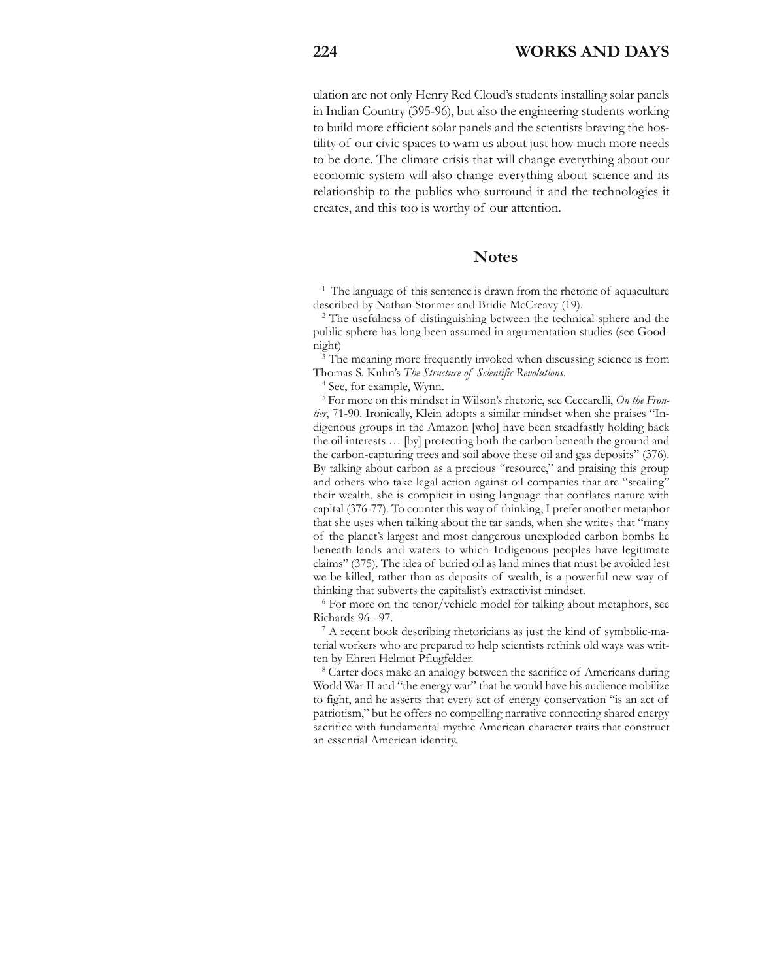ulation are not only Henry Red Cloud's students installing solar panels in Indian Country (395-96), but also the engineering students working to build more efficient solar panels and the scientists braving the hostility of our civic spaces to warn us about just how much more needs to be done. The climate crisis that will change everything about our economic system will also change everything about science and its relationship to the publics who surround it and the technologies it creates, and this too is worthy of our attention.

#### **Notes**

<sup>1</sup> The language of this sentence is drawn from the rhetoric of aquaculture described by Nathan Stormer and Bridie McCreavy (19).

<sup>2</sup> The usefulness of distinguishing between the technical sphere and the public sphere has long been assumed in argumentation studies (see Goodnight)

<sup>3</sup> The meaning more frequently invoked when discussing science is from Thomas S. Kuhn's *The Structure of Scientific Revolutions*.

<sup>4</sup> See, for example, Wynn.

<sup>5</sup> For more on this mindset in Wilson's rhetoric, see Ceccarelli, *On the Frontier*, 71-90. Ironically, Klein adopts a similar mindset when she praises "Indigenous groups in the Amazon [who] have been steadfastly holding back the oil interests … [by] protecting both the carbon beneath the ground and the carbon-capturing trees and soil above these oil and gas deposits" (376). By talking about carbon as a precious "resource," and praising this group and others who take legal action against oil companies that are "stealing" their wealth, she is complicit in using language that conflates nature with capital (376-77). To counter this way of thinking, I prefer another metaphor that she uses when talking about the tar sands, when she writes that "many of the planet's largest and most dangerous unexploded carbon bombs lie beneath lands and waters to which Indigenous peoples have legitimate claims" (375). The idea of buried oil as land mines that must be avoided lest we be killed, rather than as deposits of wealth, is a powerful new way of thinking that subverts the capitalist's extractivist mindset.

<sup>6</sup> For more on the tenor/vehicle model for talking about metaphors, see Richards 96– 97.

<sup>7</sup> A recent book describing rhetoricians as just the kind of symbolic-material workers who are prepared to help scientists rethink old ways was written by Ehren Helmut Pflugfelder.

<sup>8</sup> Carter does make an analogy between the sacrifice of Americans during World War II and "the energy war" that he would have his audience mobilize to fight, and he asserts that every act of energy conservation "is an act of patriotism," but he offers no compelling narrative connecting shared energy sacrifice with fundamental mythic American character traits that construct an essential American identity.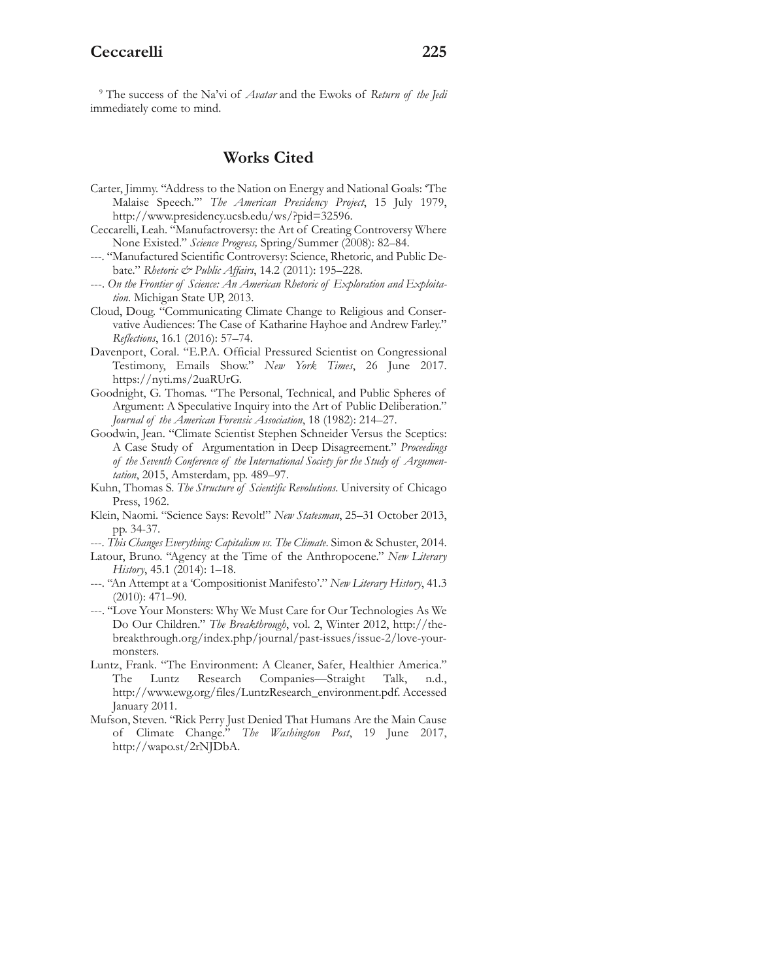<sup>9</sup> The success of the Na'vi of *Avatar* and the Ewoks of *Return of the Jedi* immediately come to mind.

# **Works Cited**

- Carter, Jimmy. "Address to the Nation on Energy and National Goals: 'The Malaise Speech.'" *The American Presidency Project*, 15 July 1979, http://www.presidency.ucsb.edu/ws/?pid=32596.
- Ceccarelli, Leah. "Manufactroversy: the Art of Creating Controversy Where None Existed." *Science Progress,* Spring/Summer (2008): 82–84.
- ---. "Manufactured Scientific Controversy: Science, Rhetoric, and Public Debate." *Rhetoric & Public Affairs*, 14.2 (2011): 195–228.
- ---. *On the Frontier of Science: An American Rhetoric of Exploration and Exploitation*. Michigan State UP, 2013.
- Cloud, Doug. "Communicating Climate Change to Religious and Conservative Audiences: The Case of Katharine Hayhoe and Andrew Farley." *Reflections*, 16.1 (2016): 57–74.
- Davenport, Coral. "E.P.A. Official Pressured Scientist on Congressional Testimony, Emails Show." *New York Times*, 26 June 2017. https://nyti.ms/2uaRUrG.
- Goodnight, G. Thomas. "The Personal, Technical, and Public Spheres of Argument: A Speculative Inquiry into the Art of Public Deliberation." *Journal of the American Forensic Association*, 18 (1982): 214–27.
- Goodwin, Jean. "Climate Scientist Stephen Schneider Versus the Sceptics: A Case Study of Argumentation in Deep Disagreement." *Proceedings of the Seventh Conference of the International Society for the Study of Argumentation*, 2015, Amsterdam, pp. 489–97.
- Kuhn, Thomas S. *The Structure of Scientific Revolutions*. University of Chicago Press, 1962.
- Klein, Naomi. "Science Says: Revolt!" *New Statesman*, 25–31 October 2013, pp. 34-37.
- ---. *This Changes Everything: Capitalism vs. The Climate*. Simon & Schuster, 2014.
- Latour, Bruno. "Agency at the Time of the Anthropocene." *New Literary History*, 45.1 (2014): 1–18.
- ---. "An Attempt at a 'Compositionist Manifesto'." *New Literary History*, 41.3 (2010): 471–90.
- ---. "Love Your Monsters: Why We Must Care for Our Technologies As We Do Our Children." *The Breakthrough*, vol. 2, Winter 2012, http://thebreakthrough.org/index.php/journal/past-issues/issue-2/love-yourmonsters.
- Luntz, Frank. "The Environment: A Cleaner, Safer, Healthier America." The Luntz Research Companies—Straight Talk, n.d., http://www.ewg.org/files/LuntzResearch\_environment.pdf. Accessed January 2011.
- Mufson, Steven. "Rick Perry Just Denied That Humans Are the Main Cause of Climate Change." *The Washington Post*, 19 June 2017, http://wapo.st/2rNJDbA.